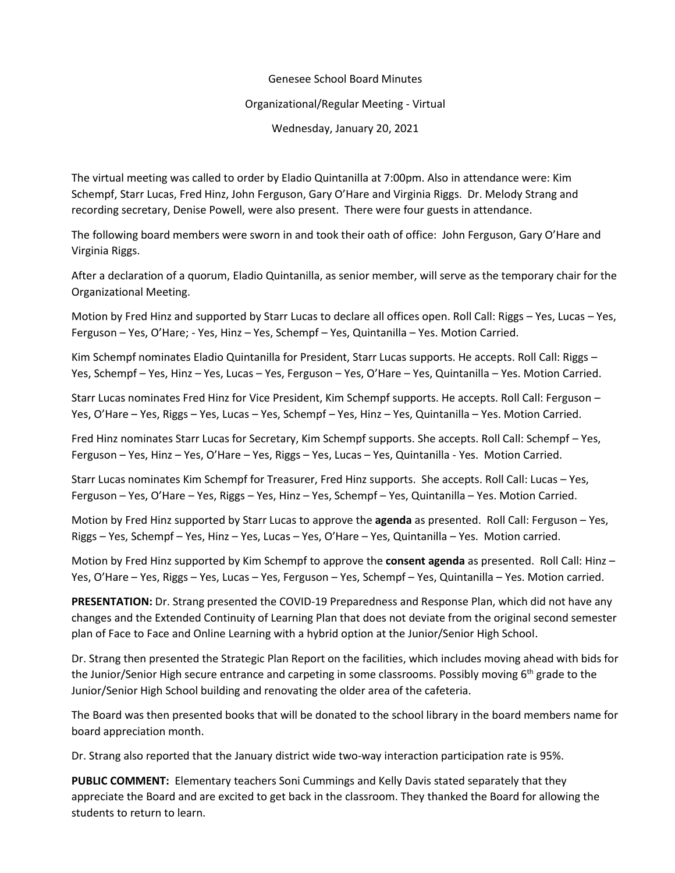#### Genesee School Board Minutes

#### Organizational/Regular Meeting - Virtual

Wednesday, January 20, 2021

The virtual meeting was called to order by Eladio Quintanilla at 7:00pm. Also in attendance were: Kim Schempf, Starr Lucas, Fred Hinz, John Ferguson, Gary O'Hare and Virginia Riggs. Dr. Melody Strang and recording secretary, Denise Powell, were also present. There were four guests in attendance.

The following board members were sworn in and took their oath of office: John Ferguson, Gary O'Hare and Virginia Riggs.

After a declaration of a quorum, Eladio Quintanilla, as senior member, will serve as the temporary chair for the Organizational Meeting.

Motion by Fred Hinz and supported by Starr Lucas to declare all offices open. Roll Call: Riggs – Yes, Lucas – Yes, Ferguson – Yes, O'Hare; - Yes, Hinz – Yes, Schempf – Yes, Quintanilla – Yes. Motion Carried.

Kim Schempf nominates Eladio Quintanilla for President, Starr Lucas supports. He accepts. Roll Call: Riggs -Yes, Schempf – Yes, Hinz – Yes, Lucas – Yes, Ferguson – Yes, O'Hare – Yes, Quintanilla – Yes. Motion Carried.

Starr Lucas nominates Fred Hinz for Vice President, Kim Schempf supports. He accepts. Roll Call: Ferguson – Yes, O'Hare – Yes, Riggs – Yes, Lucas – Yes, Schempf – Yes, Hinz – Yes, Quintanilla – Yes. Motion Carried.

Fred Hinz nominates Starr Lucas for Secretary, Kim Schempf supports. She accepts. Roll Call: Schempf – Yes, Ferguson – Yes, Hinz – Yes, O'Hare – Yes, Riggs – Yes, Lucas – Yes, Quintanilla - Yes. Motion Carried.

Starr Lucas nominates Kim Schempf for Treasurer, Fred Hinz supports. She accepts. Roll Call: Lucas – Yes, Ferguson – Yes, O'Hare – Yes, Riggs – Yes, Hinz – Yes, Schempf – Yes, Quintanilla – Yes. Motion Carried.

Motion by Fred Hinz supported by Starr Lucas to approve the **agenda** as presented. Roll Call: Ferguson – Yes, Riggs – Yes, Schempf – Yes, Hinz – Yes, Lucas – Yes, O'Hare – Yes, Quintanilla – Yes. Motion carried.

Motion by Fred Hinz supported by Kim Schempf to approve the **consent agenda** as presented. Roll Call: Hinz – Yes, O'Hare – Yes, Riggs – Yes, Lucas – Yes, Ferguson – Yes, Schempf – Yes, Quintanilla – Yes. Motion carried.

**PRESENTATION:** Dr. Strang presented the COVID-19 Preparedness and Response Plan, which did not have any changes and the Extended Continuity of Learning Plan that does not deviate from the original second semester plan of Face to Face and Online Learning with a hybrid option at the Junior/Senior High School.

Dr. Strang then presented the Strategic Plan Report on the facilities, which includes moving ahead with bids for the Junior/Senior High secure entrance and carpeting in some classrooms. Possibly moving 6<sup>th</sup> grade to the Junior/Senior High School building and renovating the older area of the cafeteria.

The Board was then presented books that will be donated to the school library in the board members name for board appreciation month.

Dr. Strang also reported that the January district wide two-way interaction participation rate is 95%.

**PUBLIC COMMENT:** Elementary teachers Soni Cummings and Kelly Davis stated separately that they appreciate the Board and are excited to get back in the classroom. They thanked the Board for allowing the students to return to learn.